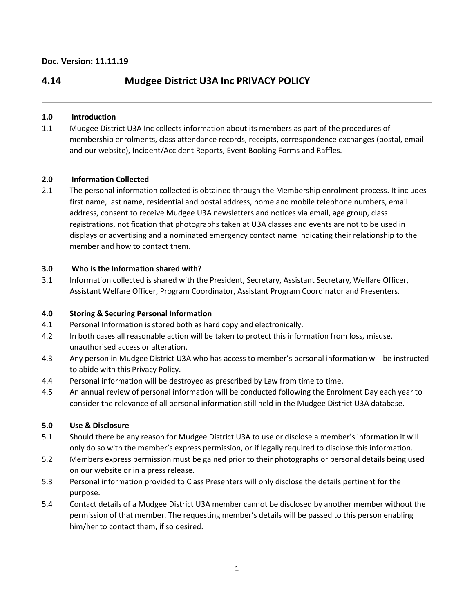# **4.14 Mudgee District U3A Inc PRIVACY POLICY**

# **1.0 Introduction**

1.1 Mudgee District U3A Inc collects information about its members as part of the procedures of membership enrolments, class attendance records, receipts, correspondence exchanges (postal, email and our website), Incident/Accident Reports, Event Booking Forms and Raffles.

# **2.0 Information Collected**

2.1 The personal information collected is obtained through the Membership enrolment process. It includes first name, last name, residential and postal address, home and mobile telephone numbers, email address, consent to receive Mudgee U3A newsletters and notices via email, age group, class registrations, notification that photographs taken at U3A classes and events are not to be used in displays or advertising and a nominated emergency contact name indicating their relationship to the member and how to contact them.

# **3.0 Who is the Information shared with?**

3.1 Information collected is shared with the President, Secretary, Assistant Secretary, Welfare Officer, Assistant Welfare Officer, Program Coordinator, Assistant Program Coordinator and Presenters.

# **4.0 Storing & Securing Personal Information**

- 4.1 Personal Information is stored both as hard copy and electronically.
- 4.2 In both cases all reasonable action will be taken to protect this information from loss, misuse, unauthorised access or alteration.
- 4.3 Any person in Mudgee District U3A who has access to member's personal information will be instructed to abide with this Privacy Policy.
- 4.4 Personal information will be destroyed as prescribed by Law from time to time.
- 4.5 An annual review of personal information will be conducted following the Enrolment Day each year to consider the relevance of all personal information still held in the Mudgee District U3A database.

# **5.0 Use & Disclosure**

- 5.1 Should there be any reason for Mudgee District U3A to use or disclose a member's information it will only do so with the member's express permission, or if legally required to disclose this information.
- 5.2 Members express permission must be gained prior to their photographs or personal details being used on our website or in a press release.
- 5.3 Personal information provided to Class Presenters will only disclose the details pertinent for the purpose.
- 5.4 Contact details of a Mudgee District U3A member cannot be disclosed by another member without the permission of that member. The requesting member's details will be passed to this person enabling him/her to contact them, if so desired.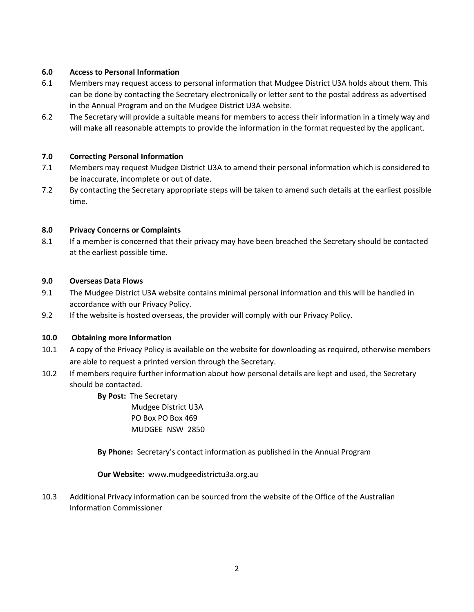# **6.0 Access to Personal Information**

- 6.1 Members may request access to personal information that Mudgee District U3A holds about them. This can be done by contacting the Secretary electronically or letter sent to the postal address as advertised in the Annual Program and on the Mudgee District U3A website.
- 6.2 The Secretary will provide a suitable means for members to access their information in a timely way and will make all reasonable attempts to provide the information in the format requested by the applicant.

# **7.0 Correcting Personal Information**

- 7.1 Members may request Mudgee District U3A to amend their personal information which is considered to be inaccurate, incomplete or out of date.
- 7.2 By contacting the Secretary appropriate steps will be taken to amend such details at the earliest possible time.

### **8.0 Privacy Concerns or Complaints**

8.1 If a member is concerned that their privacy may have been breached the Secretary should be contacted at the earliest possible time.

### **9.0 Overseas Data Flows**

- 9.1 The Mudgee District U3A website contains minimal personal information and this will be handled in accordance with our Privacy Policy.
- 9.2 If the website is hosted overseas, the provider will comply with our Privacy Policy.

### **10.0 Obtaining more Information**

- 10.1 A copy of the Privacy Policy is available on the website for downloading as required, otherwise members are able to request a printed version through the Secretary.
- 10.2 If members require further information about how personal details are kept and used, the Secretary should be contacted.
	- **By Post:** The Secretary Mudgee District U3A PO Box PO Box 469 MUDGEE NSW 2850

**By Phone:** Secretary's contact information as published in the Annual Program

**Our Website:** www.mudgeedistrictu3a.org.au

10.3 Additional Privacy information can be sourced from the website of the Office of the Australian Information Commissioner